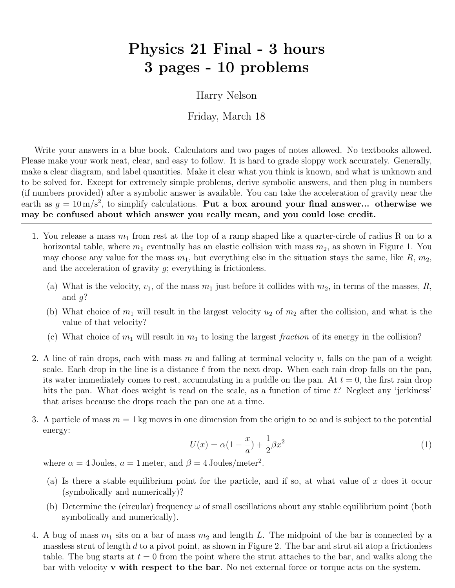## Physics 21 Final - 3 hours 3 pages - 10 problems

Harry Nelson

Friday, March 18

Write your answers in a blue book. Calculators and two pages of notes allowed. No textbooks allowed. Please make your work neat, clear, and easy to follow. It is hard to grade sloppy work accurately. Generally, make a clear diagram, and label quantities. Make it clear what you think is known, and what is unknown and to be solved for. Except for extremely simple problems, derive symbolic answers, and then plug in numbers (if numbers provided) after a symbolic answer is available. You can take the acceleration of gravity near the earth as  $g = 10 \,\mathrm{m/s^2}$ , to simplify calculations. Put a box around your final answer... otherwise we may be confused about which answer you really mean, and you could lose credit.

- 1. You release a mass  $m_1$  from rest at the top of a ramp shaped like a quarter-circle of radius R on to a horizontal table, where  $m_1$  eventually has an elastic collision with mass  $m_2$ , as shown in Figure 1. You may choose any value for the mass  $m_1$ , but everything else in the situation stays the same, like  $R$ ,  $m_2$ , and the acceleration of gravity  $q$ ; everything is frictionless.
	- (a) What is the velocity,  $v_1$ , of the mass  $m_1$  just before it collides with  $m_2$ , in terms of the masses, R, and  $q$ ?
	- (b) What choice of  $m_1$  will result in the largest velocity  $u_2$  of  $m_2$  after the collision, and what is the value of that velocity?
	- (c) What choice of  $m_1$  will result in  $m_1$  to losing the largest fraction of its energy in the collision?
- 2. A line of rain drops, each with mass m and falling at terminal velocity v, falls on the pan of a weight scale. Each drop in the line is a distance  $\ell$  from the next drop. When each rain drop falls on the pan, its water immediately comes to rest, accumulating in a puddle on the pan. At  $t = 0$ , the first rain drop hits the pan. What does weight is read on the scale, as a function of time  $t$ ? Neglect any 'jerkiness' that arises because the drops reach the pan one at a time.
- 3. A particle of mass  $m = 1$  kg moves in one dimension from the origin to  $\infty$  and is subject to the potential energy:

$$
U(x) = \alpha (1 - \frac{x}{a}) + \frac{1}{2}\beta x^2
$$
 (1)

where  $\alpha = 4$  Joules,  $a = 1$  meter, and  $\beta = 4$  Joules/meter<sup>2</sup>.

- (a) Is there a stable equilibrium point for the particle, and if so, at what value of x does it occur (symbolically and numerically)?
- (b) Determine the (circular) frequency  $\omega$  of small oscillations about any stable equilibrium point (both symbolically and numerically).
- 4. A bug of mass  $m_1$  sits on a bar of mass  $m_2$  and length L. The midpoint of the bar is connected by a massless strut of length  $d$  to a pivot point, as shown in Figure 2. The bar and strut sit atop a frictionless table. The bug starts at  $t = 0$  from the point where the strut attaches to the bar, and walks along the bar with velocity **v** with respect to the bar. No net external force or torque acts on the system.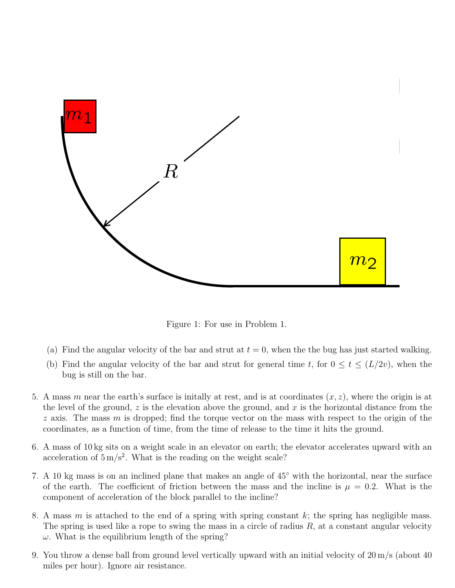

Figure 1: For use in Problem 1.

- (a) Find the angular velocity of the bar and strut at  $t = 0$ , when the the bug has just started walking.
- (b) Find the angular velocity of the bar and strut for general time t, for  $0 \le t \le (L/2v)$ , when the bug is still on the bar.
- 5. A mass m near the earth's surface is initially at rest, and is at coordinates  $(x, z)$ , where the origin is at the level of the ground, z is the elevation above the ground, and x is the horizontal distance from the  $z$  axis. The mass m is dropped; find the torque vector on the mass with respect to the origin of the coordinates, as a function of time, from the time of release to the time it hits the ground.
- 6. A mass of 10 kg sits on a weight scale in an elevator on earth; the elevator accelerates upward with an acceleration of  $5 \,\mathrm{m/s^2}$ . What is the reading on the weight scale?
- 7. A 10 kg mass is on an inclined plane that makes an angle of 45◦ with the horizontal, near the surface of the earth. The coefficient of friction between the mass and the incline is  $\mu = 0.2$ . What is the component of acceleration of the block parallel to the incline?
- 8. A mass m is attached to the end of a spring with spring constant  $k$ ; the spring has negligible mass. The spring is used like a rope to swing the mass in a circle of radius  $R$ , at a constant angular velocity  $\omega$ . What is the equilibrium length of the spring?
- 9. You throw a dense ball from ground level vertically upward with an initial velocity of 20 m/s (about 40 miles per hour). Ignore air resistance.